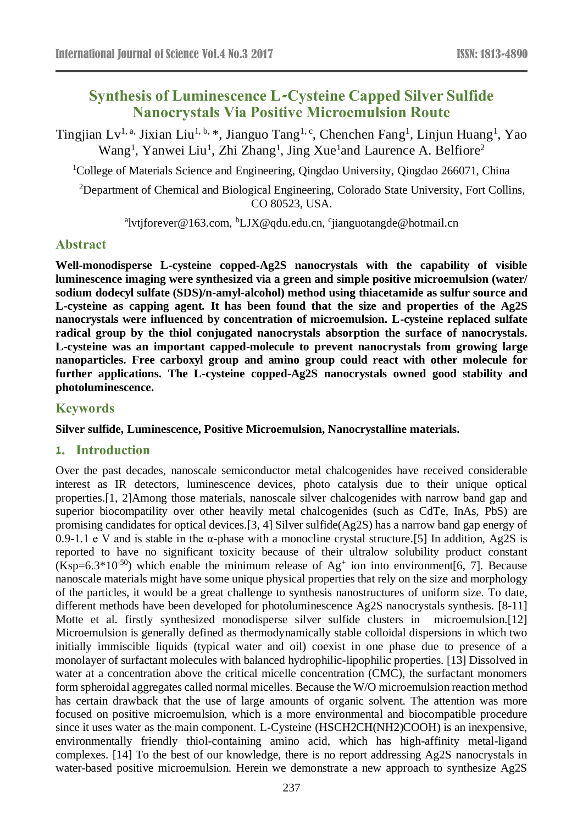# **Synthesis of Luminescence L-Cysteine Capped Silver Sulfide Nanocrystals Via Positive Microemulsion Route**

Tingjian Lv<sup>1, a,</sup> Jixian Liu<sup>1, b,</sup> \*, Jianguo Tang<sup>1, c</sup>, Chenchen Fang<sup>1</sup>, Linjun Huang<sup>1</sup>, Yao Wang<sup>1</sup>, Yanwei Liu<sup>1</sup>, Zhi Zhang<sup>1</sup>, Jing Xue<sup>1</sup>and Laurence A. Belfiore<sup>2</sup>

<sup>1</sup>College of Materials Science and Engineering, Qingdao University, Qingdao 266071, China

<sup>2</sup>Department of Chemical and Biological Engineering, Colorado State University, Fort Collins, CO 80523, USA.

<sup>a</sup>lvtjforever@163.com, <sup>b</sup>LJX@qdu.edu.cn, <sup>c</sup>jianguotangde@hotmail.cn

# **Abstract**

**Well-monodisperse L-cysteine copped-Ag2S nanocrystals with the capability of visible luminescence imaging were synthesized via a green and simple positive microemulsion (water/ sodium dodecyl sulfate (SDS)/n-amyl-alcohol) method using thiacetamide as sulfur source and L-cysteine as capping agent. It has been found that the size and properties of the Ag2S nanocrystals were influenced by concentration of microemulsion. L-cysteine replaced sulfate radical group by the thiol conjugated nanocrystals absorption the surface of nanocrystals. L-cysteine was an important capped-molecule to prevent nanocrystals from growing large nanoparticles. Free carboxyl group and amino group could react with other molecule for further applications. The L-cysteine copped-Ag2S nanocrystals owned good stability and photoluminescence.**

# **Keywords**

**Silver sulfide, Luminescence, Positive Microemulsion, Nanocrystalline materials.** 

### **1. Introduction**

Over the past decades, nanoscale semiconductor metal chalcogenides have received considerable interest as IR detectors, luminescence devices, photo catalysis due to their unique optical properties.[1, 2]Among those materials, nanoscale silver chalcogenides with narrow band gap and superior biocompatility over other heavily metal chalcogenides (such as CdTe, InAs, PbS) are promising candidates for optical devices.[3, 4] Silver sulfide(Ag2S) has a narrow band gap energy of 0.9-1.1 e V and is stable in the α-phase with a monocline crystal structure.[5] In addition, Ag2S is reported to have no significant toxicity because of their ultralow solubility product constant  $(Ksp=6.3*10<sup>-50</sup>)$  which enable the minimum release of Ag<sup>+</sup> ion into environment[6, 7]. Because nanoscale materials might have some unique physical properties that rely on the size and morphology of the particles, it would be a great challenge to synthesis nanostructures of uniform size. To date, different methods have been developed for photoluminescence Ag2S nanocrystals synthesis. [8-11] Motte et al. firstly synthesized monodisperse silver sulfide clusters in microemulsion.[12] Microemulsion is generally defined as thermodynamically stable colloidal dispersions in which two initially immiscible liquids (typical water and oil) coexist in one phase due to presence of a monolayer of surfactant molecules with balanced hydrophilic-lipophilic properties. [13] Dissolved in water at a concentration above the critical micelle concentration (CMC), the surfactant monomers form spheroidal aggregates called normal micelles. Because the W/O microemulsion reaction method has certain drawback that the use of large amounts of organic solvent. The attention was more focused on positive microemulsion, which is a more environmental and biocompatible procedure since it uses water as the main component. L-Cysteine (HSCH2CH(NH2)COOH) is an inexpensive, environmentally friendly thiol-containing amino acid, which has high-affinity metal-ligand complexes. [14] To the best of our knowledge, there is no report addressing Ag2S nanocrystals in water-based positive microemulsion. Herein we demonstrate a new approach to synthesize Ag2S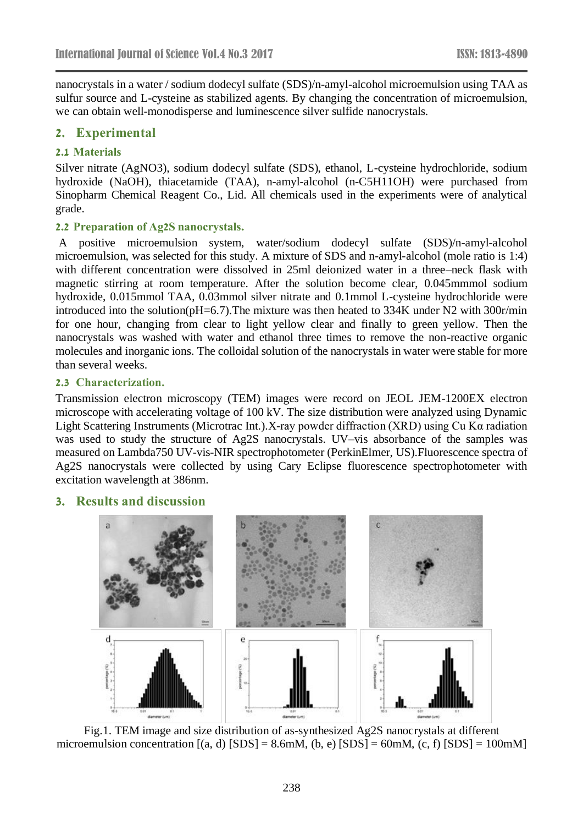nanocrystals in a water / sodium dodecyl sulfate (SDS)/n-amyl-alcohol microemulsion using TAA as sulfur source and L-cysteine as stabilized agents. By changing the concentration of microemulsion, we can obtain well-monodisperse and luminescence silver sulfide nanocrystals.

# **2. Experimental**

#### **2.1 Materials**

Silver nitrate (AgNO3), sodium dodecyl sulfate (SDS), ethanol, L-cysteine hydrochloride, sodium hydroxide (NaOH), thiacetamide (TAA), n-amyl-alcohol (n-C5H11OH) were purchased from Sinopharm Chemical Reagent Co., Lid. All chemicals used in the experiments were of analytical grade.

#### **2.2 Preparation of Ag2S nanocrystals.**

A positive microemulsion system, water/sodium dodecyl sulfate (SDS)/n-amyl-alcohol microemulsion, was selected for this study. A mixture of SDS and n-amyl-alcohol (mole ratio is 1:4) with different concentration were dissolved in 25ml deionized water in a three–neck flask with magnetic stirring at room temperature. After the solution become clear, 0.045mmmol sodium hydroxide, 0.015mmol TAA, 0.03mmol silver nitrate and 0.1mmol L-cysteine hydrochloride were introduced into the solution(pH=6.7).The mixture was then heated to 334K under N2 with 300r/min for one hour, changing from clear to light yellow clear and finally to green yellow. Then the nanocrystals was washed with water and ethanol three times to remove the non-reactive organic molecules and inorganic ions. The colloidal solution of the nanocrystals in water were stable for more than several weeks.

#### **2.3 Characterization.**

Transmission electron microscopy (TEM) images were record on JEOL JEM-1200EX electron microscope with accelerating voltage of 100 kV. The size distribution were analyzed using Dynamic Light Scattering Instruments (Microtrac Int.).X-ray powder diffraction (XRD) using Cu Kα radiation was used to study the structure of Ag2S nanocrystals. UV–vis absorbance of the samples was measured on Lambda750 UV-vis-NIR spectrophotometer (PerkinElmer, US).Fluorescence spectra of Ag2S nanocrystals were collected by using Cary Eclipse fluorescence spectrophotometer with excitation wavelength at 386nm.

### **3. Results and discussion**



Fig.1. TEM image and size distribution of as-synthesized Ag2S nanocrystals at different microemulsion concentration  $[(a, d)$   $[SDS] = 8.6$ mM,  $(b, e)$   $[SDS] = 60$ mM,  $(c, f)$   $[SDS] = 100$ mM]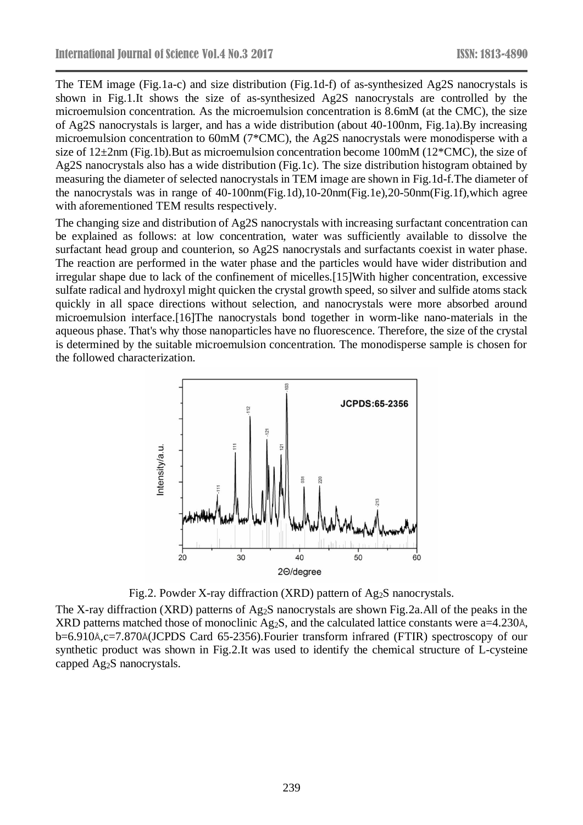The TEM image (Fig.1a-c) and size distribution (Fig.1d-f) of as-synthesized Ag2S nanocrystals is shown in Fig.1.It shows the size of as-synthesized Ag2S nanocrystals are controlled by the microemulsion concentration. As the microemulsion concentration is 8.6mM (at the CMC), the size of Ag2S nanocrystals is larger, and has a wide distribution (about 40-100nm, Fig.1a).By increasing microemulsion concentration to 60mM (7\*CMC), the Ag2S nanocrystals were monodisperse with a size of  $12\pm2$ nm (Fig.1b).But as microemulsion concentration become 100mM ( $12*CMC$ ), the size of Ag2S nanocrystals also has a wide distribution (Fig.1c). The size distribution histogram obtained by measuring the diameter of selected nanocrystals in TEM image are shown in Fig.1d-f.The diameter of the nanocrystals was in range of 40-100nm(Fig.1d),10-20nm(Fig.1e),20-50nm(Fig.1f),which agree with aforementioned TEM results respectively.

The changing size and distribution of Ag2S nanocrystals with increasing surfactant concentration can be explained as follows: at low concentration, water was sufficiently available to dissolve the surfactant head group and counterion, so Ag2S nanocrystals and surfactants coexist in water phase. The reaction are performed in the water phase and the particles would have wider distribution and irregular shape due to lack of the confinement of micelles.[15]With higher concentration, excessive sulfate radical and hydroxyl might quicken the crystal growth speed, so silver and sulfide atoms stack quickly in all space directions without selection, and nanocrystals were more absorbed around microemulsion interface.[16]The nanocrystals bond together in worm-like nano-materials in the aqueous phase. That's why those nanoparticles have no fluorescence. Therefore, the size of the crystal is determined by the suitable microemulsion concentration. The monodisperse sample is chosen for the followed characterization.



Fig.2. Powder X-ray diffraction (XRD) pattern of Ag<sub>2</sub>S nanocrystals.

The X-ray diffraction (XRD) patterns of Ag2S nanocrystals are shown Fig.2a.All of the peaks in the XRD patterns matched those of monoclinic Ag<sub>2</sub>S, and the calculated lattice constants were a=4.230Å, b=6.910Å,c=7.870Å(JCPDS Card 65-2356).Fourier transform infrared (FTIR) spectroscopy of our synthetic product was shown in Fig.2.It was used to identify the chemical structure of L-cysteine capped Ag2S nanocrystals.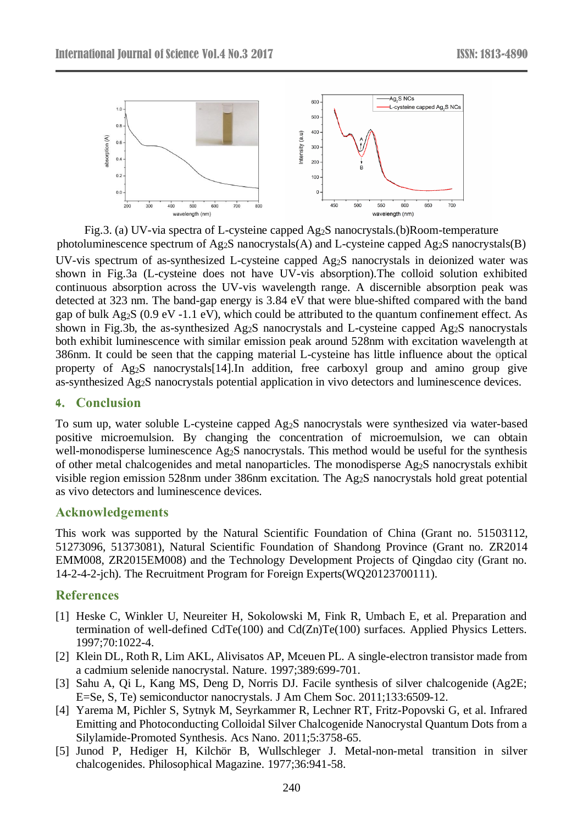

Fig.3. (a) UV-via spectra of L-cysteine capped Ag2S nanocrystals.(b)Room-temperature photoluminescence spectrum of  $Ag_2S$  nanocrystals(A) and L-cysteine capped  $Ag_2S$  nanocrystals(B)

UV-vis spectrum of as-synthesized L-cysteine capped Ag2S nanocrystals in deionized water was shown in Fig.3a (L-cysteine does not have UV-vis absorption).The colloid solution exhibited continuous absorption across the UV-vis wavelength range. A discernible absorption peak was detected at 323 nm. The band-gap energy is 3.84 eV that were blue-shifted compared with the band gap of bulk  $Ag_2S$  (0.9 eV -1.1 eV), which could be attributed to the quantum confinement effect. As shown in Fig.3b, the as-synthesized Ag2S nanocrystals and L-cysteine capped Ag2S nanocrystals both exhibit luminescence with similar emission peak around 528nm with excitation wavelength at 386nm. It could be seen that the capping material L-cysteine has little influence about the optical property of Ag2S nanocrystals[14].In addition, free carboxyl group and amino group give as-synthesized Ag2S nanocrystals potential application in vivo detectors and luminescence devices.

# **4. Conclusion**

To sum up, water soluble L-cysteine capped Ag2S nanocrystals were synthesized via water-based positive microemulsion. By changing the concentration of microemulsion, we can obtain well-monodisperse luminescence Ag<sub>2</sub>S nanocrystals. This method would be useful for the synthesis of other metal chalcogenides and metal nanoparticles. The monodisperse Ag2S nanocrystals exhibit visible region emission 528nm under 386nm excitation. The Ag2S nanocrystals hold great potential as vivo detectors and luminescence devices.

### **Acknowledgements**

This work was supported by the Natural Scientific Foundation of China (Grant no. 51503112, 51273096, 51373081), Natural Scientific Foundation of Shandong Province (Grant no. ZR2014 EMM008, ZR2015EM008) and the Technology Development Projects of Qingdao city (Grant no. 14-2-4-2-jch). The Recruitment Program for Foreign Experts(WQ20123700111).

## **References**

- [1] Heske C, Winkler U, Neureiter H, Sokolowski M, Fink R, Umbach E, et al. Preparation and termination of well-defined CdTe(100) and Cd(Zn)Te(100) surfaces. Applied Physics Letters. 1997;70:1022-4.
- [2] Klein DL, Roth R, Lim AKL, Alivisatos AP, Mceuen PL. A single-electron transistor made from a cadmium selenide nanocrystal. Nature. 1997;389:699-701.
- [3] Sahu A, Qi L, Kang MS, Deng D, Norris DJ. Facile synthesis of silver chalcogenide (Ag2E; E=Se, S, Te) semiconductor nanocrystals. J Am Chem Soc. 2011;133:6509-12.
- [4] Yarema M, Pichler S, Sytnyk M, Seyrkammer R, Lechner RT, Fritz-Popovski G, et al. Infrared Emitting and Photoconducting Colloidal Silver Chalcogenide Nanocrystal Quantum Dots from a Silylamide-Promoted Synthesis. Acs Nano. 2011;5:3758-65.
- [5] Junod P, Hediger H, Kilchör B, Wullschleger J. Metal-non-metal transition in silver chalcogenides. Philosophical Magazine. 1977;36:941-58.